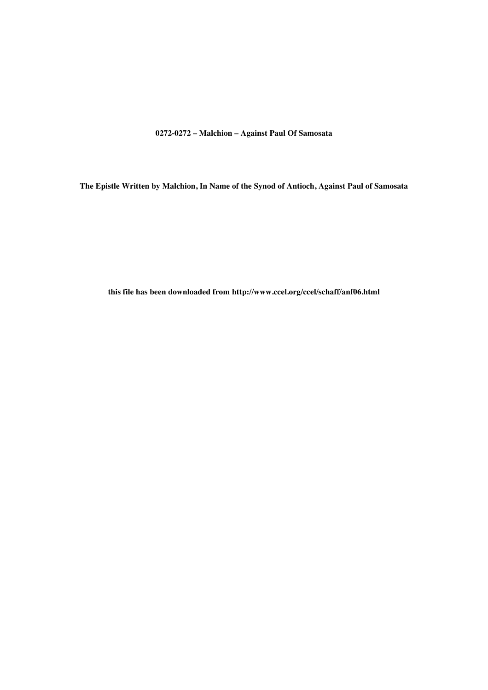**0272-0272 – Malchion – Against Paul Of Samosata**

**The Epistle Written by Malchion, In Name of the Synod of Antioch, Against Paul of Samosata**

**this file has been downloaded from http://www.ccel.org/ccel/schaff/anf06.html**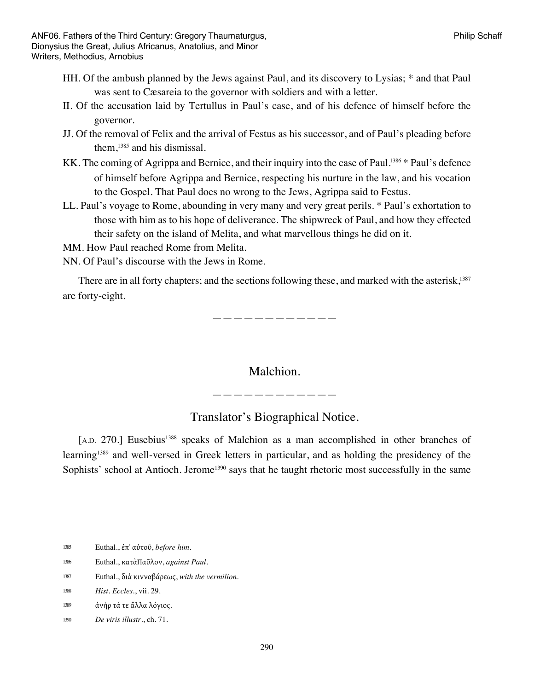ANF06. Fathers of the Third Century: Gregory Thaumaturgus, Philip Schaff Philip Schaff Philip Schaff Philip Schaff Dionysius the Great, Julius Africanus, Anatolius, and Minor Writers, Methodius, Arnobius

- HH. Of the ambush planned by the Jews against Paul, and its discovery to Lysias; \* and that Paul was sent to Cæsareia to the governor with soldiers and with a letter.
- II. Of the accusation laid by Tertullus in Paul's case, and of his defence of himself before the governor.
- JJ. Of the removal of Felix and the arrival of Festus as his successor, and of Paul's pleading before them,1385 and his dismissal.
- KK. The coming of Agrippa and Bernice, and their inquiry into the case of Paul.<sup>1386</sup> \* Paul's defence of himself before Agrippa and Bernice, respecting his nurture in the law, and his vocation to the Gospel. That Paul does no wrong to the Jews, Agrippa said to Festus.
- LL. Paul's voyage to Rome, abounding in very many and very great perils. \* Paul's exhortation to those with him as to his hope of deliverance. The shipwreck of Paul, and how they effected their safety on the island of Melita, and what marvellous things he did on it.

MM. How Paul reached Rome from Melita.

NN. Of Paul's discourse with the Jews in Rome.

There are in all forty chapters; and the sections following these, and marked with the asterisk,<sup>1387</sup> are forty-eight.

————————————

## Malchion.

————————————

Translator's Biographical Notice.

[A.D. 270.] Eusebius<sup>1388</sup> speaks of Malchion as a man accomplished in other branches of learning1389 and well-versed in Greek letters in particular, and as holding the presidency of the Sophists' school at Antioch. Jerome<sup>1390</sup> says that he taught rhetoric most successfully in the same

<sup>1387</sup> Euthal., διὰ κινναβάρεως, *with the vermilion.*

<sup>1385</sup> Euthal., ἐπ᾽ αὐτοῦ, *before him.*

<sup>1386</sup> Euthal., κατὰΠαῦλον, *against Paul.*

<sup>1388</sup> *Hist. Eccles*., vii. 29.

<sup>1389</sup> ἀνὴρ τά τε ἄλλα λόγιος.

<sup>1390</sup> *De viris illustr*., ch. 71.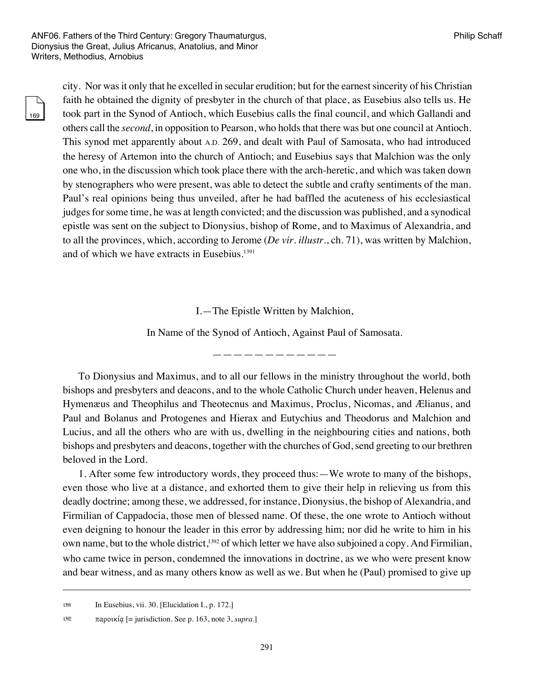[169](http://www.ccel.org/ccel/schaff/anf06/Page_169.html)

city. Nor was it only that he excelled in secular erudition; but for the earnest sincerity of his Christian faith he obtained the dignity of presbyter in the church of that place, as Eusebius also tells us. He took part in the Synod of Antioch, which Eusebius calls the final council, and which Gallandi and others call the *second*, in opposition to Pearson, who holds that there was but one council at Antioch. This synod met apparently about A.D. 269, and dealt with Paul of Samosata, who had introduced the heresy of Artemon into the church of Antioch; and Eusebius says that Malchion was the only one who, in the discussion which took place there with the arch-heretic, and which was taken down by stenographers who were present, was able to detect the subtle and crafty sentiments of the man. Paul's real opinions being thus unveiled, after he had baffled the acuteness of his ecclesiastical judges for some time, he was at length convicted; and the discussion was published, and a synodical epistle was sent on the subject to Dionysius, bishop of Rome, and to Maximus of Alexandria, and to all the provinces, which, according to Jerome (*De vir. illustr*., ch. 71), was written by Malchion, and of which we have extracts in Eusebius.<sup>1391</sup>

I.—The Epistle Written by Malchion,

In Name of the Synod of Antioch, Against Paul of Samosata.

————————————

To Dionysius and Maximus, and to all our fellows in the ministry throughout the world, both bishops and presbyters and deacons, and to the whole Catholic Church under heaven, Helenus and Hymenæus and Theophilus and Theotecnus and Maximus, Proclus, Nicomas, and Ælianus, and Paul and Bolanus and Protogenes and Hierax and Eutychius and Theodorus and Malchion and Lucius, and all the others who are with us, dwelling in the neighbouring cities and nations, both bishops and presbyters and deacons, together with the churches of God, send greeting to our brethren beloved in the Lord.

1. After some few introductory words, they proceed thus:—We wrote to many of the bishops, even those who live at a distance, and exhorted them to give their help in relieving us from this deadly doctrine; among these, we addressed, for instance, Dionysius, the bishop of Alexandria, and Firmilian of Cappadocia, those men of blessed name. Of these, the one wrote to Antioch without even deigning to honour the leader in this error by addressing him; nor did he write to him in his own name, but to the whole district,<sup>1392</sup> of which letter we have also subjoined a copy. And Firmilian, who came twice in person, condemned the innovations in doctrine, as we who were present know and bear witness, and as many others know as well as we. But when he (Paul) promised to give up

<sup>1391</sup> In Eusebius, vii. 30. [Elucidation I., p. 172.]

<sup>1392</sup> παροικίᾳ [= jurisdiction. See p. 163, note 3, *supra.*]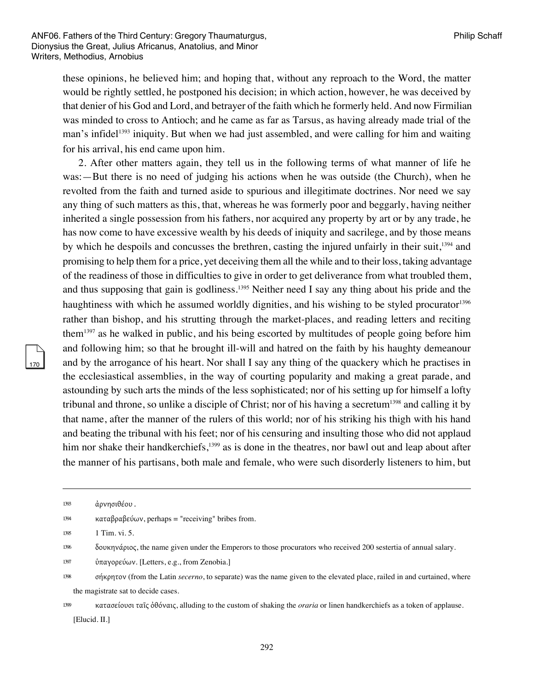ANF06. Fathers of the Third Century: Gregory Thaumaturgus, Philip Schaff Philip Schaff Philip Schaff Dionysius the Great, Julius Africanus, Anatolius, and Minor Writers, Methodius, Arnobius

these opinions, he believed him; and hoping that, without any reproach to the Word, the matter would be rightly settled, he postponed his decision; in which action, however, he was deceived by that denier of his God and Lord, and betrayer of the faith which he formerly held. And now Firmilian was minded to cross to Antioch; and he came as far as Tarsus, as having already made trial of the man's infidel<sup>1393</sup> iniquity. But when we had just assembled, and were calling for him and waiting for his arrival, his end came upon him.

2. After other matters again, they tell us in the following terms of what manner of life he was:—But there is no need of judging his actions when he was outside (the Church), when he revolted from the faith and turned aside to spurious and illegitimate doctrines. Nor need we say any thing of such matters as this, that, whereas he was formerly poor and beggarly, having neither inherited a single possession from his fathers, nor acquired any property by art or by any trade, he has now come to have excessive wealth by his deeds of iniquity and sacrilege, and by those means by which he despoils and concusses the brethren, casting the injured unfairly in their suit,1394 and promising to help them for a price, yet deceiving them all the while and to their loss, taking advantage of the readiness of those in difficulties to give in order to get deliverance from what troubled them, and thus supposing that gain is godliness.<sup>1395</sup> Neither need I say any thing about his pride and the haughtiness with which he assumed worldly dignities, and his wishing to be styled procurator<sup>1396</sup> rather than bishop, and his strutting through the market-places, and reading letters and reciting them<sup>1397</sup> as he walked in public, and his being escorted by multitudes of people going before him and following him; so that he brought ill-will and hatred on the faith by his haughty demeanour and by the arrogance of his heart. Nor shall I say any thing of the quackery which he practises in the ecclesiastical assemblies, in the way of courting popularity and making a great parade, and astounding by such arts the minds of the less sophisticated; nor of his setting up for himself a lofty tribunal and throne, so unlike a disciple of Christ; nor of his having a secretum<sup>1398</sup> and calling it by that name, after the manner of the rulers of this world; nor of his striking his thigh with his hand and beating the tribunal with his feet; nor of his censuring and insulting those who did not applaud him nor shake their handkerchiefs,<sup>1399</sup> as is done in the theatres, nor bawl out and leap about after the manner of his partisans, both male and female, who were such disorderly listeners to him, but

[170](http://www.ccel.org/ccel/schaff/anf06/Page_170.html)

<sup>1393</sup> ἀρνησιθέου .

<sup>1394</sup> καταβραβεύων, perhaps = "receiving" bribes from.

<sup>1395</sup> [1 Tim. vi. 5.](http://www.ccel.org/ccel/bible/asv.iTim.6.html#iTim.6.5)

<sup>&</sup>lt;sup>1396</sup> δουκηνάριος, the name given under the Emperors to those procurators who received 200 sestertia of annual salary.

<sup>1397</sup> ὑπαγορεύων. [Letters, e.g., from Zenobia.]

<sup>1398</sup> σήκρητον (from the Latin *secerno*, to separate) was the name given to the elevated place, railed in and curtained, where the magistrate sat to decide cases.

<sup>1399</sup> κατασείουσι ταῖς ὀθόναις, alluding to the custom of shaking the *oraria* or linen handkerchiefs as a token of applause. [Elucid. II.]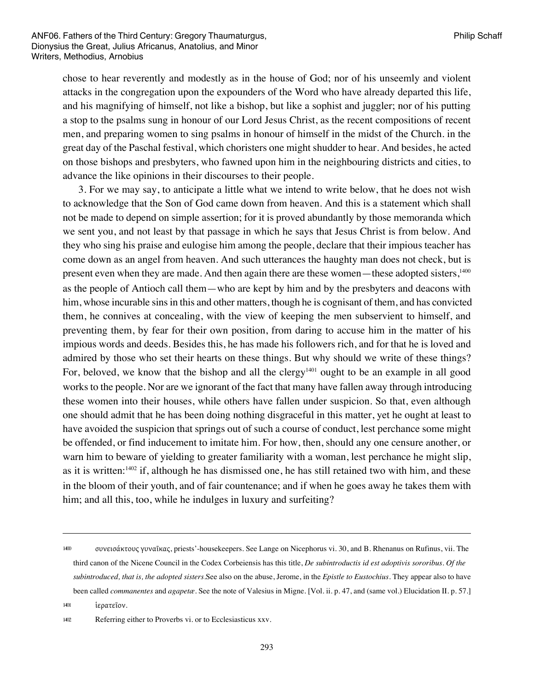chose to hear reverently and modestly as in the house of God; nor of his unseemly and violent attacks in the congregation upon the expounders of the Word who have already departed this life, and his magnifying of himself, not like a bishop, but like a sophist and juggler; nor of his putting a stop to the psalms sung in honour of our Lord Jesus Christ, as the recent compositions of recent men, and preparing women to sing psalms in honour of himself in the midst of the Church. in the great day of the Paschal festival, which choristers one might shudder to hear. And besides, he acted on those bishops and presbyters, who fawned upon him in the neighbouring districts and cities, to advance the like opinions in their discourses to their people.

3. For we may say, to anticipate a little what we intend to write below, that he does not wish to acknowledge that the Son of God came down from heaven. And this is a statement which shall not be made to depend on simple assertion; for it is proved abundantly by those memoranda which we sent you, and not least by that passage in which he says that Jesus Christ is from below. And they who sing his praise and eulogise him among the people, declare that their impious teacher has come down as an angel from heaven. And such utterances the haughty man does not check, but is present even when they are made. And then again there are these women—these adopted sisters,<sup>1400</sup> as the people of Antioch call them—who are kept by him and by the presbyters and deacons with him, whose incurable sins in this and other matters, though he is cognisant of them, and has convicted them, he connives at concealing, with the view of keeping the men subservient to himself, and preventing them, by fear for their own position, from daring to accuse him in the matter of his impious words and deeds. Besides this, he has made his followers rich, and for that he is loved and admired by those who set their hearts on these things. But why should we write of these things? For, beloved, we know that the bishop and all the clergy<sup>1401</sup> ought to be an example in all good works to the people. Nor are we ignorant of the fact that many have fallen away through introducing these women into their houses, while others have fallen under suspicion. So that, even although one should admit that he has been doing nothing disgraceful in this matter, yet he ought at least to have avoided the suspicion that springs out of such a course of conduct, lest perchance some might be offended, or find inducement to imitate him. For how, then, should any one censure another, or warn him to beware of yielding to greater familiarity with a woman, lest perchance he might slip, as it is written:1402 if, although he has dismissed one, he has still retained two with him, and these in the bloom of their youth, and of fair countenance; and if when he goes away he takes them with him; and all this, too, while he indulges in luxury and surfeiting?

<sup>1401</sup> ἱερατεῖον.

<sup>1402</sup> Referring either to [Proverbs vi](http://www.ccel.org/ccel/bible/asv.Prov..html#Prov..). or to [Ecclesiasticus xxv.](http://www.ccel.org/ccel/bible/asv.Sir..html#Sir..)

<sup>1400</sup> συνεισάκτους γυναῖκας, priests'-housekeepers. See Lange on Nicephorus vi. 30, and B. Rhenanus on Rufinus, vii. The third canon of the Nicene Council in the Codex Corbeiensis has this title, *De subintroductis id est adoptivis sororibus. Of the subintroduced, that is, the adopted sisters.*See also on the abuse, Jerome, in the *Epistle to Eustochius.* They appear also to have been called *commanentes* and *agapetæ.* See the note of Valesius in Migne. [Vol. ii. p. 47, and (same vol.) Elucidation II. p. 57.]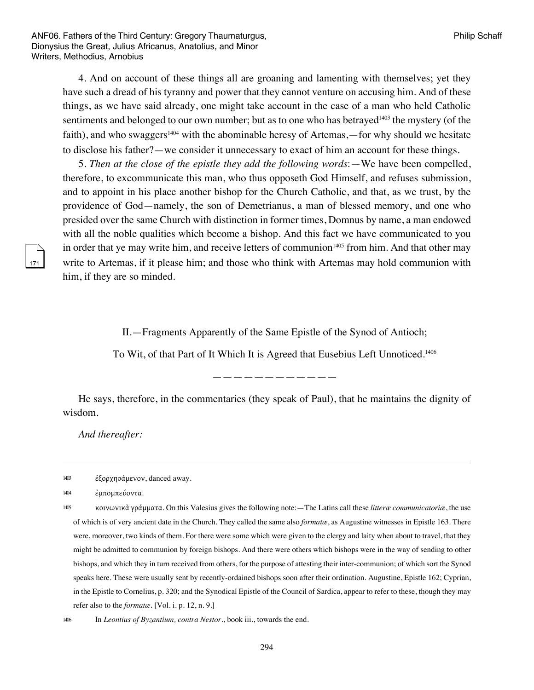ANF06. Fathers of the Third Century: Gregory Thaumaturgus, National Communications of the Thilip Schaff Dionysius the Great, Julius Africanus, Anatolius, and Minor Writers, Methodius, Arnobius

4. And on account of these things all are groaning and lamenting with themselves; yet they have such a dread of his tyranny and power that they cannot venture on accusing him. And of these things, as we have said already, one might take account in the case of a man who held Catholic sentiments and belonged to our own number; but as to one who has betrayed<sup>1403</sup> the mystery (of the faith), and who swaggers<sup>1404</sup> with the abominable heresy of Artemas,—for why should we hesitate to disclose his father?—we consider it unnecessary to exact of him an account for these things.

5. *Then at the close of the epistle they add the following words*:—We have been compelled, therefore, to excommunicate this man, who thus opposeth God Himself, and refuses submission, and to appoint in his place another bishop for the Church Catholic, and that, as we trust, by the providence of God—namely, the son of Demetrianus, a man of blessed memory, and one who presided over the same Church with distinction in former times, Domnus by name, a man endowed with all the noble qualities which become a bishop. And this fact we have communicated to you in order that ye may write him, and receive letters of communion<sup>1405</sup> from him. And that other may write to Artemas, if it please him; and those who think with Artemas may hold communion with him, if they are so minded.

II.—Fragments Apparently of the Same Epistle of the Synod of Antioch;

To Wit, of that Part of It Which It is Agreed that Eusebius Left Unnoticed.1406

————————————

He says, therefore, in the commentaries (they speak of Paul), that he maintains the dignity of wisdom.

*And thereafter:*

[171](http://www.ccel.org/ccel/schaff/anf06/Page_171.html)

<sup>1403</sup> ἐξορχησάμενον, danced away.

<sup>1404</sup> ἐμπομπεύοντα.

<sup>1406</sup> In *Leontius of Byzantium, contra Nestor.*, book iii., towards the end.



<sup>1405</sup> κοινωνικὰ γράμματα. On this Valesius gives the following note:—The Latins call these *litteræ communicatoriæ*, the use of which is of very ancient date in the Church. They called the same also *formatæ*, as Augustine witnesses in Epistle 163. There were, moreover, two kinds of them. For there were some which were given to the clergy and laity when about to travel, that they might be admitted to communion by foreign bishops. And there were others which bishops were in the way of sending to other bishops, and which they in turn received from others, for the purpose of attesting their inter-communion; of which sort the Synod speaks here. These were usually sent by recently-ordained bishops soon after their ordination. Augustine, Epistle 162; Cyprian, in the Epistle to Cornelius, p. 320; and the Synodical Epistle of the Council of Sardica, appear to refer to these, though they may refer also to the *formatæ.* [Vol. i. p. 12, n. 9.]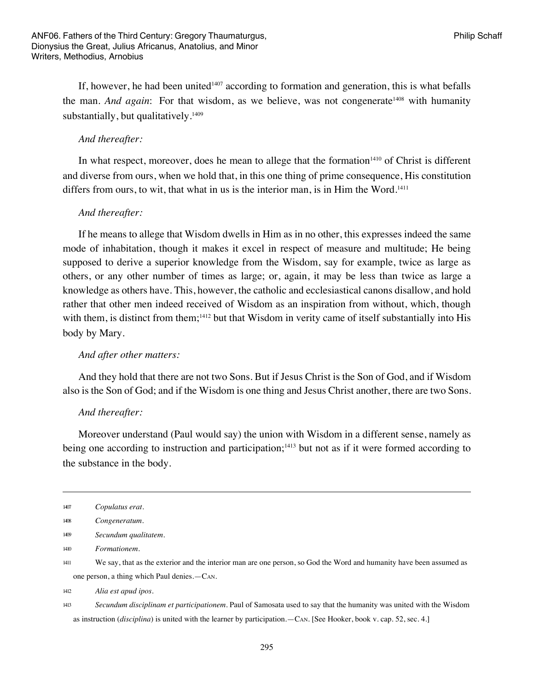If, however, he had been united $1407$  according to formation and generation, this is what befalls the man. *And again*: For that wisdom, as we believe, was not congenerate<sup>1408</sup> with humanity substantially, but qualitatively. $1409$ 

#### *And thereafter:*

In what respect, moreover, does he mean to allege that the formation<sup> $1410$ </sup> of Christ is different and diverse from ours, when we hold that, in this one thing of prime consequence, His constitution differs from ours, to wit, that what in us is the interior man, is in Him the Word.<sup>1411</sup>

#### *And thereafter:*

If he means to allege that Wisdom dwells in Him as in no other, this expresses indeed the same mode of inhabitation, though it makes it excel in respect of measure and multitude; He being supposed to derive a superior knowledge from the Wisdom, say for example, twice as large as others, or any other number of times as large; or, again, it may be less than twice as large a knowledge as others have. This, however, the catholic and ecclesiastical canons disallow, and hold rather that other men indeed received of Wisdom as an inspiration from without, which, though with them, is distinct from them;<sup>1412</sup> but that Wisdom in verity came of itself substantially into His body by Mary.

### *And after other matters:*

And they hold that there are not two Sons. But if Jesus Christ is the Son of God, and if Wisdom also is the Son of God; and if the Wisdom is one thing and Jesus Christ another, there are two Sons.

### *And thereafter:*

Moreover understand (Paul would say) the union with Wisdom in a different sense, namely as being one according to instruction and participation;<sup>1413</sup> but not as if it were formed according to the substance in the body.

<sup>1412</sup> *Alia est apud ipos.*

<sup>1413</sup> *Secundum disciplinam et participationem.* Paul of Samosata used to say that the humanity was united with the Wisdom as instruction (*disciplina*) is united with the learner by participation.—CAN. [See Hooker, book v. cap. 52, sec. 4.]

<sup>1407</sup> *Copulatus erat.*

<sup>1408</sup> *Congeneratum.*

<sup>1409</sup> *Secundum qualitatem.*

<sup>1410</sup> *Formationem.*

<sup>1411</sup> We say, that as the exterior and the interior man are one person, so God the Word and humanity have been assumed as one person, a thing which Paul denies.—CAN.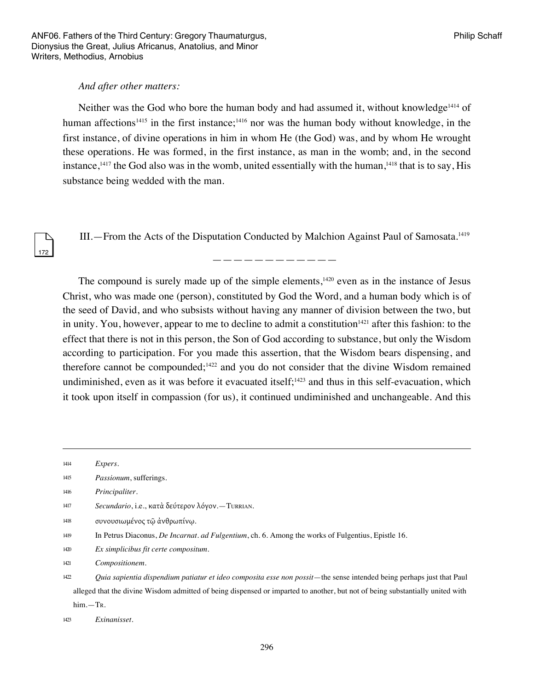#### *And after other matters:*

Neither was the God who bore the human body and had assumed it, without knowledge<sup>1414</sup> of human affections<sup>1415</sup> in the first instance;<sup>1416</sup> nor was the human body without knowledge, in the first instance, of divine operations in him in whom He (the God) was, and by whom He wrought these operations. He was formed, in the first instance, as man in the womb; and, in the second instance,<sup>1417</sup> the God also was in the womb, united essentially with the human,<sup>1418</sup> that is to say, His substance being wedded with the man.

III.—From the Acts of the Disputation Conducted by Malchion Against Paul of Samosata.1419

————————————

The compound is surely made up of the simple elements, $1420$  even as in the instance of Jesus Christ, who was made one (person), constituted by God the Word, and a human body which is of the seed of David, and who subsists without having any manner of division between the two, but in unity. You, however, appear to me to decline to admit a constitution<sup> $1421$ </sup> after this fashion: to the effect that there is not in this person, the Son of God according to substance, but only the Wisdom according to participation. For you made this assertion, that the Wisdom bears dispensing, and therefore cannot be compounded;<sup>1422</sup> and you do not consider that the divine Wisdom remained undiminished, even as it was before it evacuated itself;<sup>1423</sup> and thus in this self-evacuation, which it took upon itself in compassion (for us), it continued undiminished and unchangeable. And this

[172](http://www.ccel.org/ccel/schaff/anf06/Page_172.html)

- <sup>1417</sup> *Secundario*, i.e., κατὰ δεύτερον λόγον.—TURRIAN.
- <sup>1418</sup> συνουσιωμένος τῷ ἀνθρωπίνῳ.

1419 In Petrus Diaconus, *De Incarnat. ad Fulgentium*, ch. 6. Among the works of Fulgentius, Epistle 16.

1420 *Ex simplicibus fit certe compositum.*

1421 *Compositionem.*

1422 *Quia sapientia dispendium patiatur et ideo composita esse non possit*—the sense intended being perhaps just that Paul alleged that the divine Wisdom admitted of being dispensed or imparted to another, but not of being substantially united with him.—TR.

<sup>1423</sup> *Exinanisset.*

<sup>1414</sup> *Expers.*

<sup>1415</sup> *Passionum*, sufferings.

<sup>1416</sup> *Principaliter.*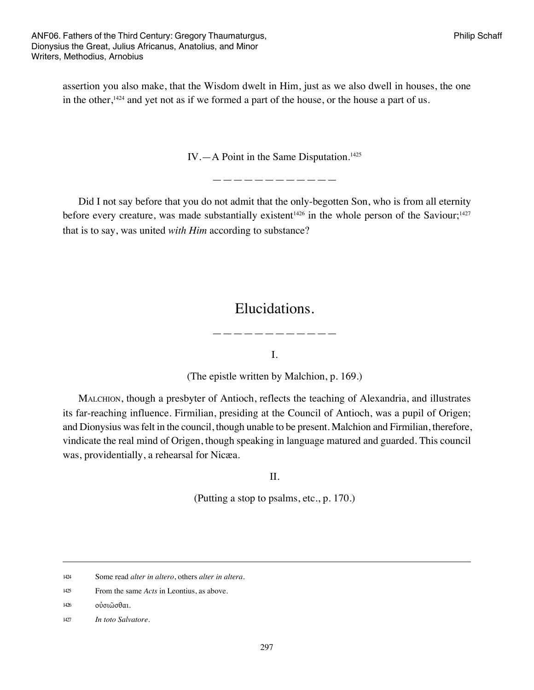assertion you also make, that the Wisdom dwelt in Him, just as we also dwell in houses, the one in the other,<sup>1424</sup> and yet not as if we formed a part of the house, or the house a part of us.

IV.—A Point in the Same Disputation.1425

————————————

Did I not say before that you do not admit that the only-begotten Son, who is from all eternity before every creature, was made substantially existent<sup>1426</sup> in the whole person of the Saviour;<sup>1427</sup> that is to say, was united *with Him* according to substance?

# Elucidations.

————————————

I.

(The epistle written by Malchion, p. 169.)

MALCHION, though a presbyter of Antioch, reflects the teaching of Alexandria, and illustrates its far-reaching influence. Firmilian, presiding at the Council of Antioch, was a pupil of Origen; and Dionysius was felt in the council, though unable to be present. Malchion and Firmilian, therefore, vindicate the real mind of Origen, though speaking in language matured and guarded. This council was, providentially, a rehearsal for Nicæa.

II.

(Putting a stop to psalms, etc., p. 170.)

<sup>1424</sup> Some read *alter in altero*, others *alter in altera.*

<sup>1425</sup> From the same *Acts* in Leontius, as above.

<sup>1426</sup> οὐσιῶσθαι.

<sup>1427</sup> *In toto Salvatore.*